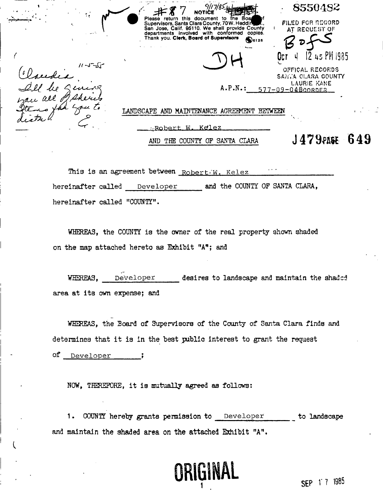8550482 *Y*  7 **NOTK Please return this document to the Sot Supervisors, Santa Clara County, 70 W. Heddii •** *f^* **I**  FILED **FOR** MIGORD **San Jose, Calif. 95110. We shall provide County departments involved with conformed copies. Thank you. Clerk, Board of Supervisors £) 0I2 <sup>0</sup>** AT REQUEST OF O**CT I**| I2.WPHI985  $11 - J - 5J$ **3 H**  OPTICAL RECORDS *(iJb^-JU-jLs*  SANTA OLARA COUNTY LAURIE KANE le Qeness A.P.N.: 577-09-04BcorpER *MUX, all*  shere LANDSCAPE AND MAINTENANCE AGREEMENT BETWEEN **•..Robert-, w . K^le z**  AND THE COUNTY OF SANTA CLARA  $J479$ PAGE  $649$ 

This is an agreement between **Robert-'W. Kele z " '**  hereinafter called Developer and the COUNTY OF SANTA CLARA, hereinafter called "COUNTY".

WHEREAS, the COUNTY is the owner of the real property shown shaded on the map attached hereto as Exhibit "A"; and

WHEREAS, **Develope r** desires to landscape and maintain the shaded area at its own expense; and

WHEREAS, the Board of Supervisors of the County of Santa Clara finds and determines that it is in the best public interest to grant the request

of <u>Developer</u> ;

NOW, THEREFORE, it is mutually agreed as follows:

1. COUNTY herety grants permission to **Develope r** to landscape and maintain the shaded area on the attached Exhibit "A".

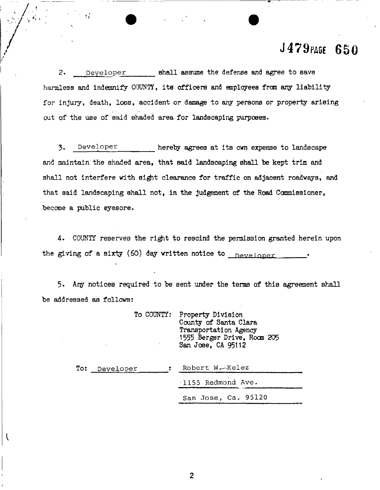# **J479 PAG E 65 0**

2. Developer **shall assume the defense and agree to save** harmless and indemnify COUNTY, its officers and employees from any liability for injury, death, loss, accident or damage to any persons or property arising out of the use of said shaded area for landscaping purposes.

*4..'*

 $1$   $\frac{1}{2}$   $\frac{1}{2}$   $\frac{1}{2}$   $\frac{1}{2}$   $\frac{1}{2}$   $\frac{1}{2}$   $\frac{1}{2}$   $\frac{1}{2}$   $\frac{1}{2}$   $\frac{1}{2}$   $\frac{1}{2}$   $\frac{1}{2}$   $\frac{1}{2}$   $\frac{1}{2}$   $\frac{1}{2}$   $\frac{1}{2}$   $\frac{1}{2}$   $\frac{1}{2}$   $\frac{1}{2}$   $\frac{1}{2}$   $\frac{1}{2}$   $\frac{1}{2$ 

3- **Developer ,** hereby agrees at its own expense to landscape and maintain the shaded area, that said landscaping shall be kept trim and shall not interfere with sight clearance for traffic on adjacent roadways, and that said landscaping shall not, in the judgement of the Road Commissioner, become a public eyesore.

4. COUNTY reserves the right to rescind the permission granted herein upon the giving of a sixty (60) day written notice to  $_{\text{Developer}}$ 

5. Ary notices required to be sent under the terms of this agreement shall be addressed as follows:

|               | To COUNTY: Property Division<br>County of Santa Clara<br>Transportation Agency<br>1555 Berger Drive, Room 205<br>San Jose, CA 95112 |
|---------------|-------------------------------------------------------------------------------------------------------------------------------------|
| To: Developer | Robert W. Kelez                                                                                                                     |
|               | 1155 Redmond Ave.                                                                                                                   |
|               | San Jose, Ca. 95120                                                                                                                 |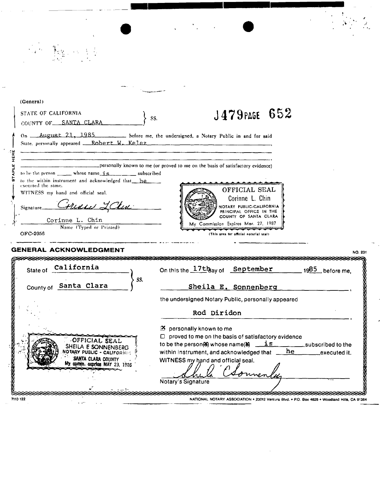| (General)                                                                                                                                                                                                                     |                                                                                                                                                                                                                                                                   |
|-------------------------------------------------------------------------------------------------------------------------------------------------------------------------------------------------------------------------------|-------------------------------------------------------------------------------------------------------------------------------------------------------------------------------------------------------------------------------------------------------------------|
| <b>STATE OF CALIFORNIA</b><br>COUNTY OF SANTA CLARA                                                                                                                                                                           | J479 PAGE 652<br>SS.                                                                                                                                                                                                                                              |
| State, personally appeared __Robert W. Kelez                                                                                                                                                                                  | On <u>August 21</u> , 1985 hefore me, the undersigned, a Notary Public in and for said                                                                                                                                                                            |
|                                                                                                                                                                                                                               | personally known to me (or proved to me on the basis of satisfactory evidence)                                                                                                                                                                                    |
| to be the person $\frac{\cdot}{\cdot}$ whose name $\frac{\cdot}{\cdot}$ whose $\cdot$ and $\cdot$ subscribed<br>to the within instrument and acknowledged that he<br>executed the same.<br>WITNESS my hand and official seal. | OFFICIAL SEAL                                                                                                                                                                                                                                                     |
| Crusus LClu<br>Signature<br>Corinne L. Chin                                                                                                                                                                                   | Corinne L. Chin<br>NOTARY PUBLIC-CALIFORNIA<br>PRINCIPAL OFFICE IN THE<br>COUNTY OF SANTA CLARA                                                                                                                                                                   |
| Name (Typed or Printed)<br>OFC-2056                                                                                                                                                                                           | My Commission Expires Mar. 27, 1987<br>(This area for official notarial seal)                                                                                                                                                                                     |
| <b>GENERAL ACKNOWLEDGMENT</b>                                                                                                                                                                                                 | NO. 201                                                                                                                                                                                                                                                           |
| <u>sananan memberi memberi memberi </u><br>California<br>State of<br>SS.                                                                                                                                                      | On this the $17th$ ay of September<br>$-$ 1985, before me,                                                                                                                                                                                                        |
| County of Santa Clara                                                                                                                                                                                                         | Sheila E. Sonnenberg                                                                                                                                                                                                                                              |
|                                                                                                                                                                                                                               | the undersigned Notary Public, personally appeared                                                                                                                                                                                                                |
|                                                                                                                                                                                                                               | Rod Diridon                                                                                                                                                                                                                                                       |
| OFFICIAL SEAL<br>SHEILA E SONNENBERG<br>OTARY PUBLIC - CALIFORNES<br>SANTA CLARA COUNTY<br>My comm. expries MAY 23, 1936                                                                                                      | personally known to me<br>Œ.<br>proved to me on the basis of satisfactory evidence<br>O.<br>is<br>to be the person(8) whose name(8)<br>_subscribed to the<br>he<br>within instrument, and acknowledged that<br>executed it.<br>WITNESS my hand and official seal. |
|                                                                                                                                                                                                                               | Notary's Signature                                                                                                                                                                                                                                                |

 $\mathcal{A}^{\mathcal{A}}$ 

 $\frac{1}{2} \sum_{i=1}^{n} \frac{1}{2} \sum_{j=1}^{n} \frac{1}{2} \sum_{j=1}^{n} \frac{1}{2} \sum_{j=1}^{n} \frac{1}{2} \sum_{j=1}^{n} \frac{1}{2} \sum_{j=1}^{n} \frac{1}{2} \sum_{j=1}^{n} \frac{1}{2} \sum_{j=1}^{n} \frac{1}{2} \sum_{j=1}^{n} \frac{1}{2} \sum_{j=1}^{n} \frac{1}{2} \sum_{j=1}^{n} \frac{1}{2} \sum_{j=1}^{n} \frac{1}{2} \sum_{j=1}^{n$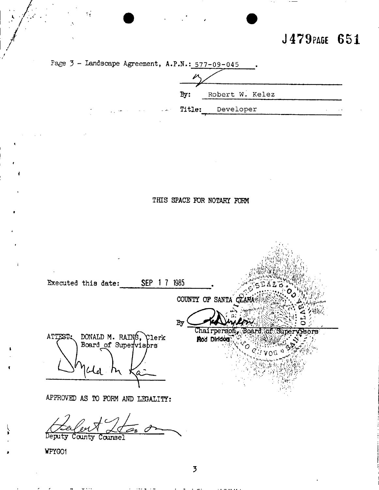J479PAGE 651



Deputy County Counsel

WPYGO1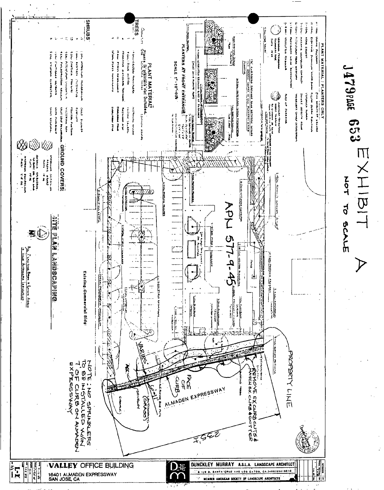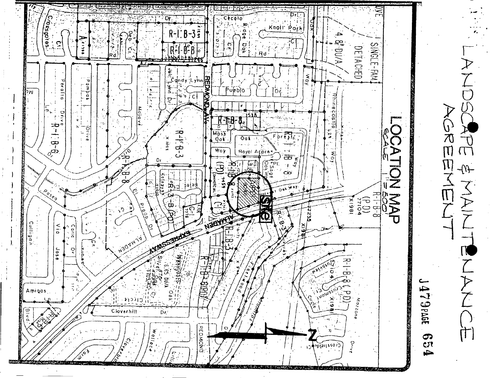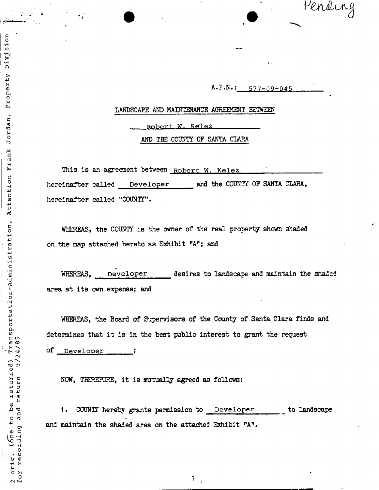Pending

A.P.N.:\_\_<u>577-09-045</u> \_\_\_\_

# LANDSCAPE AND MAINTENANCE AGREEMENT BETWEEN

Robert W. Kelez

AND THE COUNTY OF SANTA CLARA

**This is an agreement between** Robert W. Kelez hereinafter called Developer and the COUNTY OF SANTA CLARA, hereinafter called "COUNTY"•

WHEREAS, the COUNTY is the owner of the real property shown shaded on the map attached hereto as Exhibit "A"; and

WHEREAS, Developer desires to landscape and maintain the shaded area at its own expense; and

WHEREAS, the Board of Supervisors of the County of Santa Clara finds and determines that it is in the best public interest to grant the request

of **Develope r ;** 

Division

Property

Jordan,

Frank

Attention

Transportation-Administration,

 $24/85$ 

 $\sim$ 

return

and

recording  $\sqrt{2}$ 

2 orig.<br>for reco:

to be returned)

NOW, THEREFORE, it is mutually agreed as follows:

1. COUNTY hereby grants permission to **Develope r** to landscape and maintain the shaded area on the attached Exhibit "A".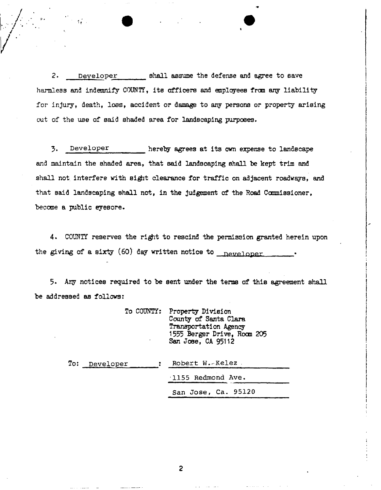2. **Developer shall assume the defense and agree** to **save**  harmless and indemnify COUNT?, its officers and employees from any liability for injury, death, loss, accident or damage to any persons or property arising out of the use of said shaded area for landscaping purposes.

3. Developer hereby agrees at its own expense to landscape and maintain the shaded area, that said landscaping shall be kept trim and shall not interfere with sight clearance for traffic on adjacent roadways, and that said landscaping shall not, in the judgement of the Road Commissioner, become a public eyesore.

4. COUNTY reserves the right to rescind the permission granted herein upon the giving of a sixty (60) day written notice to np ypinppr •

5. Any notices required to be sent under the terms of this agreement shall be addressed as follows:

|               | ٠ | To COUNTY: Property Division<br>County of Santa Clara<br>Transportation Agency<br>1555 Berger Drive, Room 205<br>San Jose, CA 95112 |
|---------------|---|-------------------------------------------------------------------------------------------------------------------------------------|
| To: Developer |   | Robert W. Kelez                                                                                                                     |
|               |   | 1155 Redmond Ave.                                                                                                                   |
|               |   | San Jose, Ca. 95120                                                                                                                 |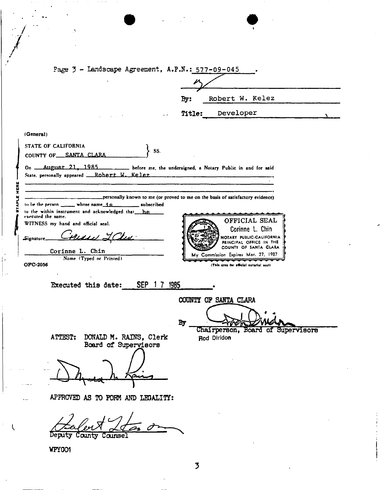|                    | ۰,                                                                                                       |                                                                                 |
|--------------------|----------------------------------------------------------------------------------------------------------|---------------------------------------------------------------------------------|
|                    |                                                                                                          |                                                                                 |
|                    |                                                                                                          |                                                                                 |
|                    | Page 3 - Landscape Agreement, A.P.N.: 577-09-045                                                         |                                                                                 |
|                    |                                                                                                          |                                                                                 |
|                    |                                                                                                          | Robert W. Kelez<br>By:                                                          |
|                    | $\omega = 0.5$                                                                                           | Developer<br>Title:                                                             |
|                    |                                                                                                          |                                                                                 |
| (General)          |                                                                                                          |                                                                                 |
|                    | STATE OF CALIFORNIA<br>SS.<br>COUNTY OF SANTA CLARA                                                      |                                                                                 |
|                    | On <u>August 21, 1985</u> before me, the undersigned, a Notary Public in and for said                    |                                                                                 |
|                    | State. personally appeared __Rohert W. Kelez                                                             |                                                                                 |
| HERE               |                                                                                                          |                                                                                 |
|                    | to be the person $\frac{1}{\sqrt{1-\frac{1}{n}}}$ whose name $\frac{1}{\sqrt{1-\frac{1}{n}}}$ subscribed | personally known to me (or proved to me on the basis of satisfactory evidence). |
| executed the same. | to the within instrument and acknowledged that he                                                        | OFFICIAL SEAL                                                                   |
|                    | WITNESS my hand and official seal.                                                                       | Corinne L. Chin                                                                 |
| Signature.         | <u>Fran LChu</u>                                                                                         | NOTARY PUBLIC-CALIFORNIA<br>PRINCIPAL OFFICE IN THE                             |
|                    | Corinne L. Chin<br>Name (Typed or Printed)                                                               | COUNTY OF SANTA CLARA<br>My Commission Expires Mar. 27, 1987                    |
| OFC-2056           |                                                                                                          | (This area for official notarial seal)                                          |
|                    | SEP 17<br>Executed this date:                                                                            | 1985                                                                            |
|                    |                                                                                                          |                                                                                 |
|                    |                                                                                                          | COUNTY OF SANTA CLARA                                                           |
|                    |                                                                                                          | By                                                                              |
|                    | ATTEST:                                                                                                  | Chairperson, Board of Supervisors                                               |
|                    | DONALD M. RAINS, Clerk<br>Board of Supervisors                                                           | Rod Diridon                                                                     |
|                    |                                                                                                          |                                                                                 |
|                    |                                                                                                          |                                                                                 |
|                    |                                                                                                          |                                                                                 |
|                    | APPROVED AS TO FORM AND LEGALITY:                                                                        |                                                                                 |
|                    |                                                                                                          |                                                                                 |
|                    | Deputy<br>Counsel<br>County                                                                              |                                                                                 |
|                    | WPYGO1                                                                                                   |                                                                                 |
|                    |                                                                                                          | 3                                                                               |
|                    |                                                                                                          |                                                                                 |
|                    |                                                                                                          |                                                                                 |

 $\mathcal{L}_{\mathcal{A}}$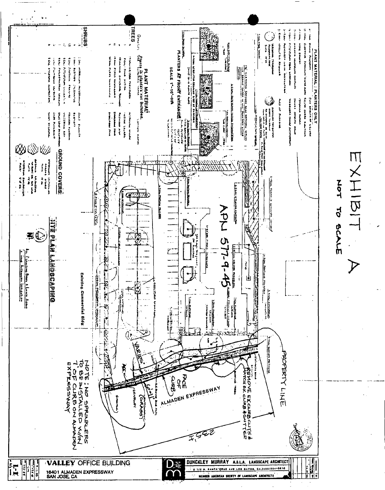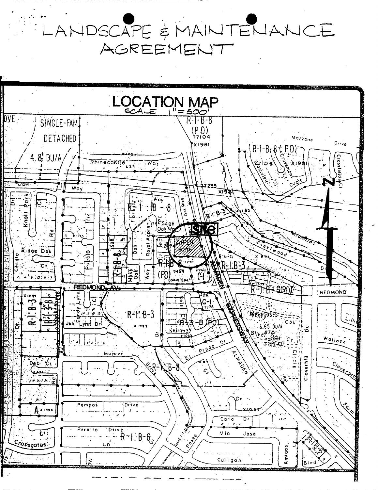LANDSCAPE & MAINTENANCE AGREEMENT

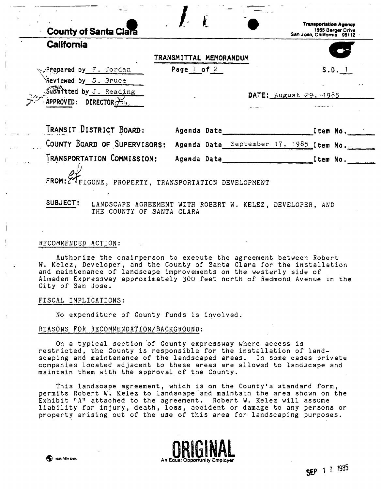| Page 1 of 2 |                            | $S.D.$ 1                                              |
|-------------|----------------------------|-------------------------------------------------------|
|             |                            |                                                       |
|             |                            | DATE: August 29, 1985                                 |
|             |                            |                                                       |
|             |                            |                                                       |
|             |                            | Item No.                                              |
|             | Agenda Date<br>Agenda Date | TRANSMITTAL MEMORANDUM<br>September 17, 1985 Item No. |

FROM: 2 BOOKS, PROPERTY, TRANSPORTATION DEVELOPMENT

SUBJECT: LANDSCAPE AGREEMENT WITH ROBERT W. KELEZ, DEVELOPER, AND THE COUNTY OF SANTA CLARA

TRANSPORTATION COMMISSION: Agenda Date <u>ither accordination</u> of tem No.

## RECOMMENDED ACTION:

Authorize the chairperson to execute the agreement between Robert W. Kelez, Developer, and the County of Santa Clara for the installation and maintenance of landscape improvements on the westerly side of Almaden Expressway approximately 300 feet north of Redmond Avenue in the City of San Jose.

# FISCAL IMPLICATIONS:

No expenditure of County funds is involved.

## REASONS FOR RECOMMENDATION/BACKGROUND:

On a typical section of County expressway where access is restricted, the County is responsible for the installation of landscaping and maintenance of the landscaped areas. In some cases private companies located adjacent to these areas are allowed to landscape and maintain them with the approval of the County.

This landscape agreement, which is on the County's standard form, permits Robert W. Kelez to landscape and maintain the area shown on the Exhibit "A" attached to the agreement. Robert W. Kelez will assume liability for injury, death, loss, accident or damage to any persons or property arising out of the use of this area for landscaping purposes.